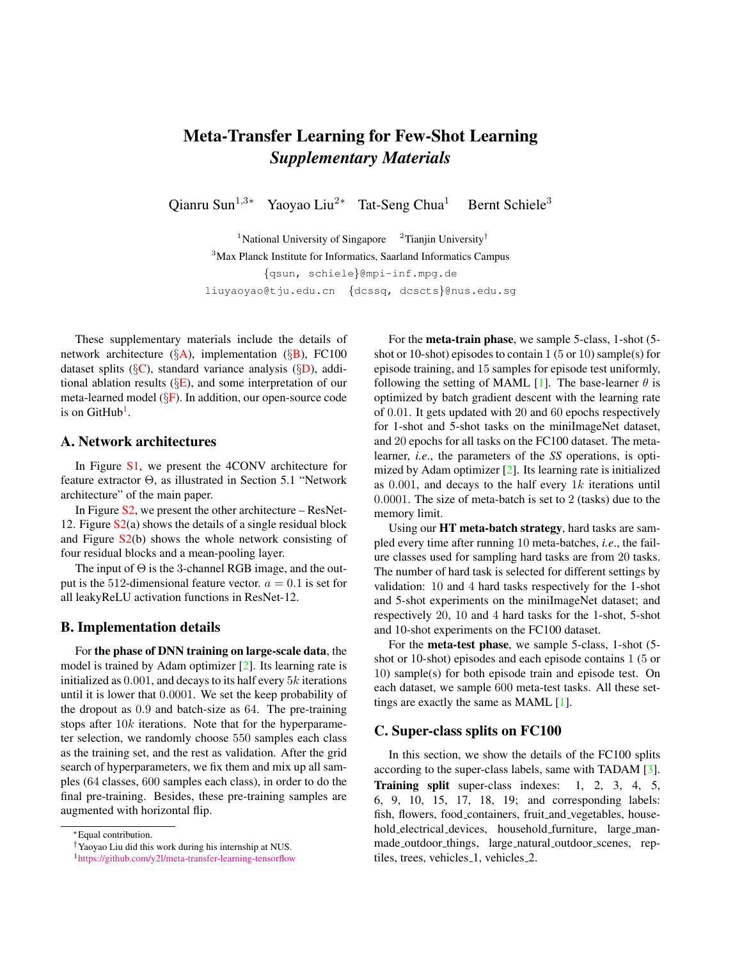# <span id="page-0-4"></span>Meta-Transfer Learning for Few-Shot Learning *Supplementary Materials*

Qianru Sun<sup>1,3∗</sup> Yaoyao Liu<sup>2∗</sup> Tat-Seng Chua<sup>1</sup> Bernt Schiele<sup>3</sup>

<sup>1</sup>National University of Singapore <sup>2</sup>Tianjin University<sup>†</sup> <sup>3</sup>Max Planck Institute for Informatics, Saarland Informatics Campus {qsun, schiele}@mpi-inf.mpg.de liuyaoyao@tju.edu.cn {dcssq, dcscts}@nus.edu.sg

These supplementary materials include the details of network architecture ( $\S$ [A\)](#page-0-0), implementation ( $\S$ [B\)](#page-0-1), FC100 dataset splits ( $\S$ [C\)](#page-0-2), standard variance analysis ( $\S$ [D\)](#page-1-0), additional ablation results  $(\S E)$  $(\S E)$ , and some interpretation of our meta-learned model (§[F\)](#page-1-2). In addition, our open-source code is on GitHub<sup>[1](#page-0-3)</sup>.

#### <span id="page-0-0"></span>A. Network architectures

In Figure [S1,](#page-2-0) we present the 4CONV architecture for feature extractor Θ, as illustrated in Section 5.1 "Network architecture" of the main paper.

In Figure  $S_2$ , we present the other architecture – ResNet-12. Figure  $S_2(a)$  shows the details of a single residual block and Figure  $S_2(b)$  shows the whole network consisting of four residual blocks and a mean-pooling layer.

The input of  $\Theta$  is the 3-channel RGB image, and the output is the 512-dimensional feature vector.  $a = 0.1$  is set for all leakyReLU activation functions in ResNet-12.

### <span id="page-0-1"></span>B. Implementation details

For the phase of DNN training on large-scale data, the model is trained by Adam optimizer [\[2\]](#page-1-3). Its learning rate is initialized as  $0.001$ , and decays to its half every  $5k$  iterations until it is lower that 0.0001. We set the keep probability of the dropout as 0.9 and batch-size as 64. The pre-training stops after 10k iterations. Note that for the hyperparameter selection, we randomly choose 550 samples each class as the training set, and the rest as validation. After the grid search of hyperparameters, we fix them and mix up all samples (64 classes, 600 samples each class), in order to do the final pre-training. Besides, these pre-training samples are augmented with horizontal flip.

For the meta-train phase, we sample 5-class, 1-shot (5 shot or 10-shot) episodes to contain  $1(5 \text{ or } 10)$  sample(s) for episode training, and 15 samples for episode test uniformly, following the setting of MAML [\[1\]](#page-1-4). The base-learner  $\theta$  is optimized by batch gradient descent with the learning rate of 0.01. It gets updated with 20 and 60 epochs respectively for 1-shot and 5-shot tasks on the miniImageNet dataset, and 20 epochs for all tasks on the FC100 dataset. The metalearner, *i.e*., the parameters of the *SS* operations, is optimized by Adam optimizer [\[2\]](#page-1-3). Its learning rate is initialized as  $0.001$ , and decays to the half every  $1k$  iterations until 0.0001. The size of meta-batch is set to 2 (tasks) due to the memory limit.

Using our HT meta-batch strategy, hard tasks are sampled every time after running 10 meta-batches, *i.e*., the failure classes used for sampling hard tasks are from 20 tasks. The number of hard task is selected for different settings by validation: 10 and 4 hard tasks respectively for the 1-shot and 5-shot experiments on the miniImageNet dataset; and respectively 20, 10 and 4 hard tasks for the 1-shot, 5-shot and 10-shot experiments on the FC100 dataset.

For the meta-test phase, we sample 5-class, 1-shot (5 shot or 10-shot) episodes and each episode contains 1 (5 or 10) sample(s) for both episode train and episode test. On each dataset, we sample 600 meta-test tasks. All these settings are exactly the same as MAML [\[1\]](#page-1-4).

#### <span id="page-0-2"></span>C. Super-class splits on FC100

In this section, we show the details of the FC100 splits according to the super-class labels, same with TADAM [\[3\]](#page-1-5). Training split super-class indexes: 1, 2, 3, 4, 5, 6, 9, 10, 15, 17, 18, 19; and corresponding labels: fish, flowers, food containers, fruit and vegetables, household electrical devices, household furniture, large manmade outdoor things, large natural outdoor scenes, reptiles, trees, vehicles 1, vehicles 2.

<sup>∗</sup>Equal contribution.

<sup>†</sup>Yaoyao Liu did this work during his internship at NUS.

<span id="page-0-3"></span><sup>1</sup><https://github.com/y2l/meta-transfer-learning-tensorflow>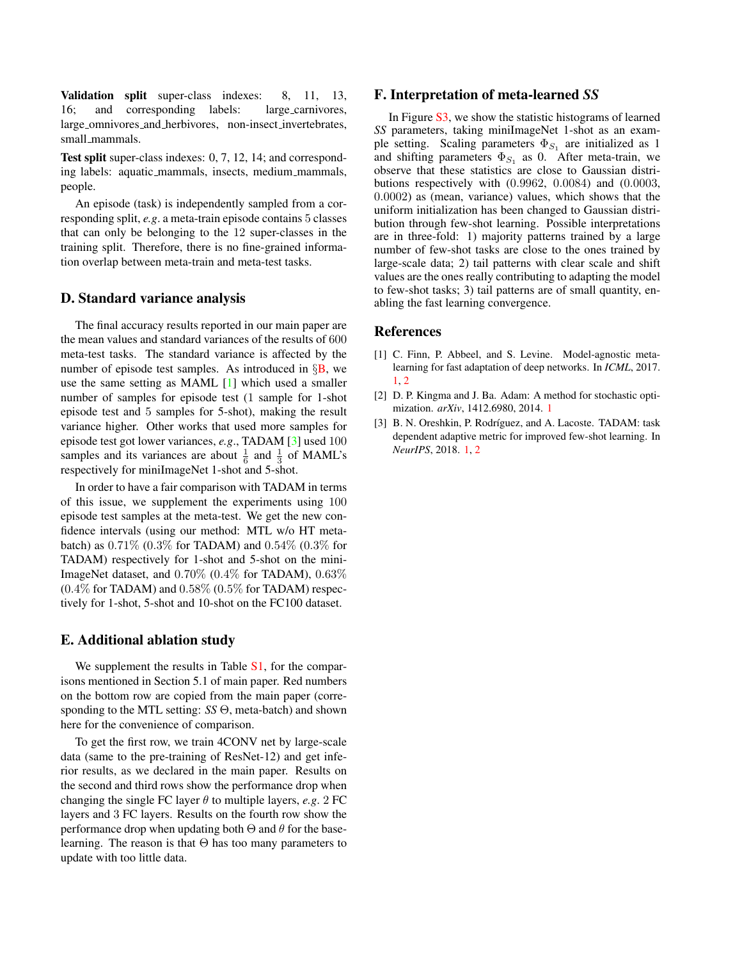<span id="page-1-6"></span>Validation split super-class indexes: 8, 11, 13, 16; and corresponding labels: large carnivores, large omnivores and herbivores, non-insect invertebrates, small mammals.

Test split super-class indexes: 0, 7, 12, 14; and corresponding labels: aquatic mammals, insects, medium mammals, people.

An episode (task) is independently sampled from a corresponding split, *e.g*. a meta-train episode contains 5 classes that can only be belonging to the 12 super-classes in the training split. Therefore, there is no fine-grained information overlap between meta-train and meta-test tasks.

#### <span id="page-1-0"></span>D. Standard variance analysis

The final accuracy results reported in our main paper are the mean values and standard variances of the results of 600 meta-test tasks. The standard variance is affected by the number of episode test samples. As introduced in  $\S$ [B,](#page-0-1) we use the same setting as MAML [\[1\]](#page-1-4) which used a smaller number of samples for episode test (1 sample for 1-shot episode test and 5 samples for 5-shot), making the result variance higher. Other works that used more samples for episode test got lower variances, *e.g*., TADAM [\[3\]](#page-1-5) used 100 samples and its variances are about  $\frac{1}{6}$  and  $\frac{1}{3}$  of MAML's respectively for miniImageNet 1-shot and 5-shot.

In order to have a fair comparison with TADAM in terms of this issue, we supplement the experiments using 100 episode test samples at the meta-test. We get the new confidence intervals (using our method: MTL w/o HT metabatch) as  $0.71\%$  ( $0.3\%$  for TADAM) and  $0.54\%$  ( $0.3\%$  for TADAM) respectively for 1-shot and 5-shot on the mini-ImageNet dataset, and 0.70% (0.4% for TADAM), 0.63%  $(0.4\%$  for TADAM) and  $0.58\%$   $(0.5\%$  for TADAM) respectively for 1-shot, 5-shot and 10-shot on the FC100 dataset.

#### <span id="page-1-1"></span>E. Additional ablation study

We supplement the results in Table S<sub>1</sub>, for the comparisons mentioned in Section 5.1 of main paper. Red numbers on the bottom row are copied from the main paper (corresponding to the MTL setting: *SS* Θ, meta-batch) and shown here for the convenience of comparison.

To get the first row, we train 4CONV net by large-scale data (same to the pre-training of ResNet-12) and get inferior results, as we declared in the main paper. Results on the second and third rows show the performance drop when changing the single FC layer  $\theta$  to multiple layers, *e.g.* 2 FC layers and 3 FC layers. Results on the fourth row show the performance drop when updating both  $\Theta$  and  $\theta$  for the baselearning. The reason is that  $\Theta$  has too many parameters to update with too little data.

#### <span id="page-1-2"></span>F. Interpretation of meta-learned *SS*

In Figure [S3,](#page-3-0) we show the statistic histograms of learned *SS* parameters, taking miniImageNet 1-shot as an example setting. Scaling parameters  $\Phi_{S_1}$  are initialized as 1 and shifting parameters  $\Phi_{S_1}$  as 0. After meta-train, we observe that these statistics are close to Gaussian distributions respectively with (0.9962, 0.0084) and (0.0003, 0.0002) as (mean, variance) values, which shows that the uniform initialization has been changed to Gaussian distribution through few-shot learning. Possible interpretations are in three-fold: 1) majority patterns trained by a large number of few-shot tasks are close to the ones trained by large-scale data; 2) tail patterns with clear scale and shift values are the ones really contributing to adapting the model to few-shot tasks; 3) tail patterns are of small quantity, enabling the fast learning convergence.

#### References

- <span id="page-1-4"></span>[1] C. Finn, P. Abbeel, and S. Levine. Model-agnostic metalearning for fast adaptation of deep networks. In *ICML*, 2017. [1,](#page-0-4) [2](#page-1-6)
- <span id="page-1-3"></span>[2] D. P. Kingma and J. Ba. Adam: A method for stochastic optimization. *arXiv*, 1412.6980, 2014. [1](#page-0-4)
- <span id="page-1-5"></span>[3] B. N. Oreshkin, P. Rodríguez, and A. Lacoste. TADAM: task dependent adaptive metric for improved few-shot learning. In *NeurIPS*, 2018. [1,](#page-0-4) [2](#page-1-6)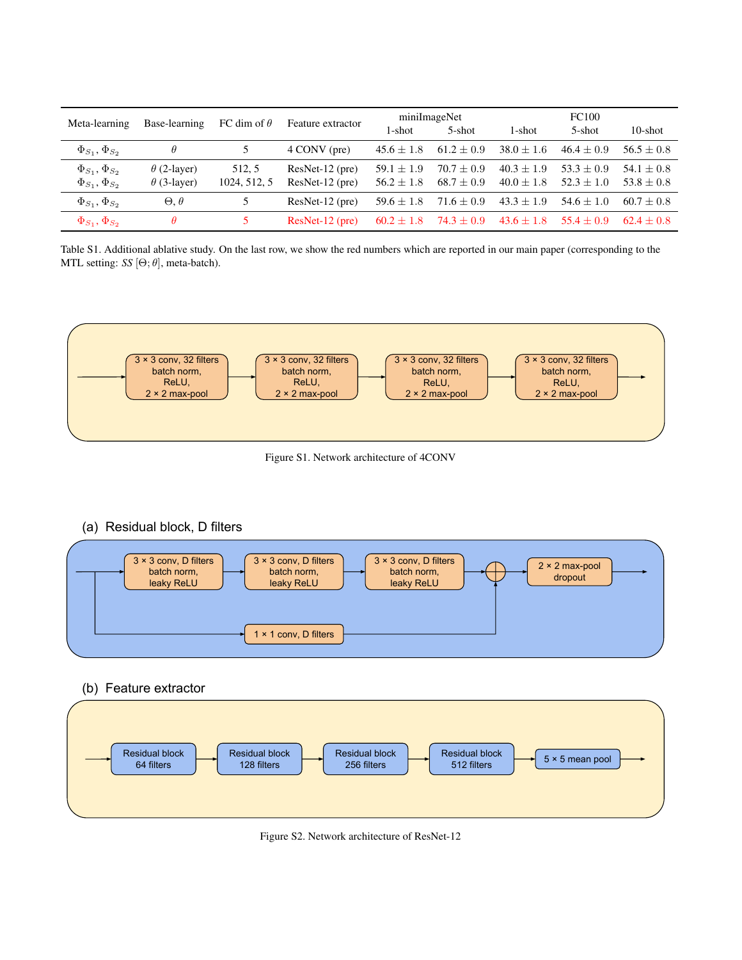| Meta-learning            | Base-learning      | FC dim of $\theta$ | Feature extractor | miniImageNet   |                | <b>FC100</b>   |                |                |
|--------------------------|--------------------|--------------------|-------------------|----------------|----------------|----------------|----------------|----------------|
|                          |                    |                    |                   | 1-shot         | 5-shot         | 1-shot         | 5-shot         | $10$ -shot     |
| $\Phi_{S_1}, \Phi_{S_2}$ | $\theta$           |                    | 4 CONV (pre)      | $45.6 \pm 1.8$ | $61.2 \pm 0.9$ | $38.0 \pm 1.6$ | $46.4 \pm 0.9$ | $56.5 + 0.8$   |
| $\Phi_{S_1}, \Phi_{S_2}$ | $\theta$ (2-layer) | 512.5              | $ResNet-12$ (pre) | $59.1 + 1.9$   | $70.7 + 0.9$   | $40.3 \pm 1.9$ | $53.3 \pm 0.9$ | $54.1 + 0.8$   |
| $\Phi_{S_1}, \Phi_{S_2}$ | $\theta$ (3-layer) | 1024, 512, 5       | $ResNet-12$ (pre) | $56.2 \pm 1.8$ | $68.7 \pm 0.9$ | $40.0 \pm 1.8$ | $52.3 \pm 1.0$ | $53.8 + 0.8$   |
| $\Phi_{S_1}, \Phi_{S_2}$ | $\Theta, \theta$   | 5                  | $ResNet-12$ (pre) | $59.6 \pm 1.8$ | $71.6 + 0.9$   | $43.3 + 1.9$   | $54.6 + 1.0$   | $60.7 + 0.8$   |
| $\Phi_{S_1}, \Phi_{S_2}$ | $\theta$           |                    | $ResNet-12$ (pre) | $60.2 + 1.8$   | $74.3 + 0.9$   | $43.6 + 1.8$   | $55.4 + 0.9$   | $62.4 \pm 0.8$ |

<span id="page-2-2"></span>Table S1. Additional ablative study. On the last row, we show the red numbers which are reported in our main paper (corresponding to the MTL setting: *SS*  $[\Theta; \theta]$ , meta-batch).



<span id="page-2-0"></span>Figure S1. Network architecture of 4CONV

# (a) Residual block, D filters



## (b) Feature extractor



<span id="page-2-1"></span>Figure S2. Network architecture of ResNet-12